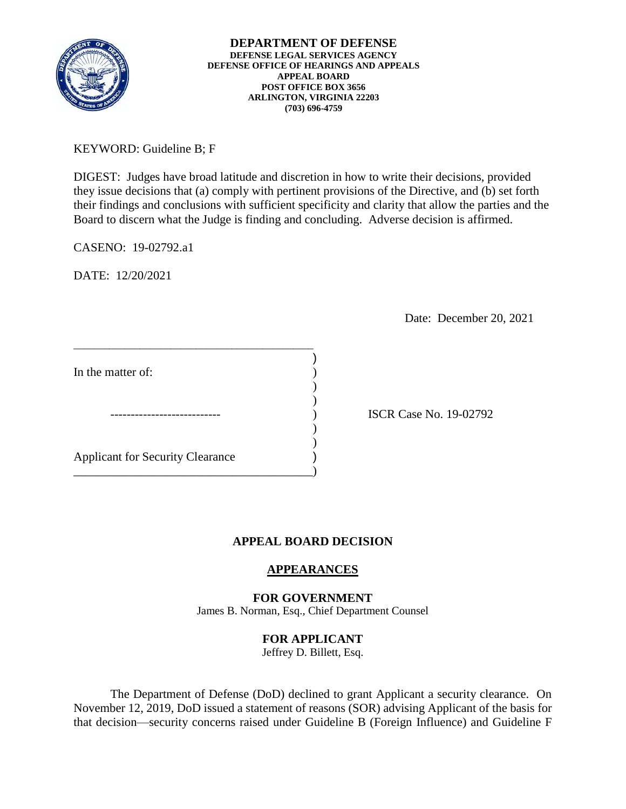

**DEPARTMENT OF DEFENSE DEFENSE LEGAL SERVICES AGENCY DEFENSE OFFICE OF HEARINGS AND APPEALS APPEAL BOARD POST OFFICE BOX 3656 ARLINGTON, VIRGINIA 22203 (703) 696-4759** 

KEYWORD: Guideline B; F

 DIGEST: Judges have broad latitude and discretion in how to write their decisions, provided they issue decisions that (a) comply with pertinent provisions of the Directive, and (b) set forth their findings and conclusions with sufficient specificity and clarity that allow the parties and the Board to discern what the Judge is finding and concluding. Adverse decision is affirmed.

)

) )

CASENO: 19-02792.a1

DATE: 12/20/2021

Date: December 20, 2021

In the matter of:

Applicant for Security Clearance )

\_\_\_\_\_\_\_\_\_\_\_\_\_\_\_\_\_\_\_\_\_\_\_\_\_\_\_\_\_\_\_\_\_\_\_\_\_\_\_\_\_\_\_\_\_\_\_

 $)$  $\overline{\phantom{a}}$ 

\_\_\_\_\_\_\_\_\_\_\_\_\_\_\_\_\_\_\_\_\_\_\_\_\_\_\_\_\_\_\_\_\_\_\_\_\_\_\_)

) ISCR Case No. 19-02792

# **APPEAL BOARD DECISION**

# **APPEARANCES**

**FOR GOVERNMENT**  James B. Norman, Esq., Chief Department Counsel

# **FOR APPLICANT**

Jeffrey D. Billett, Esq.

 The Department of Defense (DoD) declined to grant Applicant a security clearance. On November 12, 2019, DoD issued a statement of reasons (SOR) advising Applicant of the basis for that decision—security concerns raised under Guideline B (Foreign Influence) and Guideline F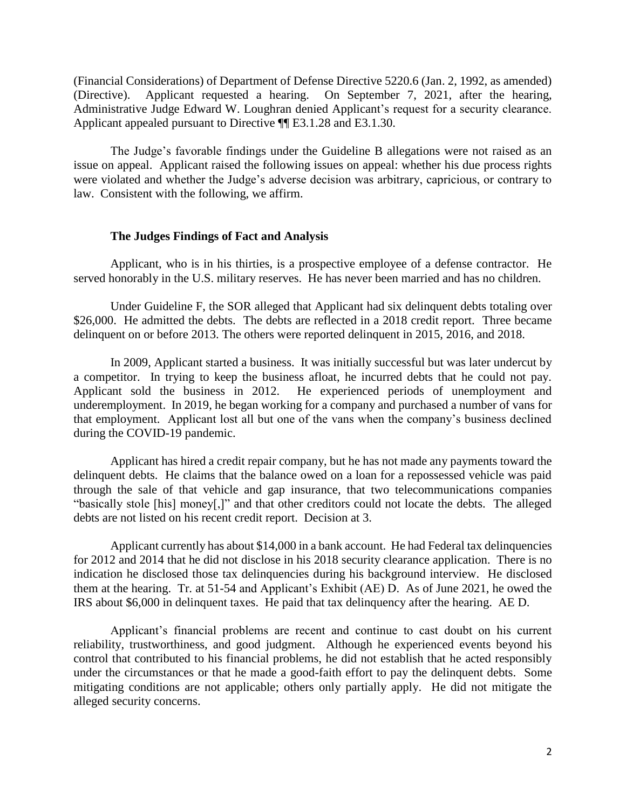(Financial Considerations) of Department of Defense Directive 5220.6 (Jan. 2, 1992, as amended) (Directive). Applicant requested a hearing. On September 7, 2021, after the hearing, Administrative Judge Edward W. Loughran denied Applicant's request for a security clearance. Applicant appealed pursuant to Directive ¶¶ E3.1.28 and E3.1.30.

 The Judge's favorable findings under the Guideline B allegations were not raised as an issue on appeal. Applicant raised the following issues on appeal: whether his due process rights were violated and whether the Judge's adverse decision was arbitrary, capricious, or contrary to law. Consistent with the following, we affirm.

### **The Judges Findings of Fact and Analysis**

 Applicant, who is in his thirties, is a prospective employee of a defense contractor. He served honorably in the U.S. military reserves. He has never been married and has no children.

 Under Guideline F, the SOR alleged that Applicant had six delinquent debts totaling over \$26,000. He admitted the debts. The debts are reflected in a 2018 credit report. Three became delinquent on or before 2013. The others were reported delinquent in 2015, 2016, and 2018.

a competitor. In trying to keep the business afloat, he incurred debts that he could not pay. a competitor. In trying to keep the business afloat, he incurred debts that he could not pay. Applicant sold the business in 2012. He experienced periods of unemployment and underemployment. In 2019, he began working for a company and purchased a number of vans for that employment. Applicant lost all but one of the vans when the company's business declined In 2009, Applicant started a business. It was initially successful but was later undercut by during the COVID-19 pandemic.

 Applicant has hired a credit repair company, but he has not made any payments toward the delinquent debts. He claims that the balance owed on a loan for a repossessed vehicle was paid through the sale of that vehicle and gap insurance, that two telecommunications companies "basically stole [his] money[,]" and that other creditors could not locate the debts. The alleged debts are not listed on his recent credit report. Decision at 3.

 for 2012 and 2014 that he did not disclose in his 2018 security clearance application. There is no indication he disclosed those tax delinquencies during his background interview. He disclosed them at the hearing. Tr. at 51-54 and Applicant's Exhibit (AE) D. As of June 2021, he owed the Applicant currently has about \$14,000 in a bank account. He had Federal tax delinquencies IRS about \$6,000 in delinquent taxes. He paid that tax delinquency after the hearing. AE D.

 control that contributed to his financial problems, he did not establish that he acted responsibly under the circumstances or that he made a good-faith effort to pay the delinquent debts. Some mitigating conditions are not applicable; others only partially apply. He did not mitigate the Applicant's financial problems are recent and continue to cast doubt on his current reliability, trustworthiness, and good judgment. Although he experienced events beyond his alleged security concerns.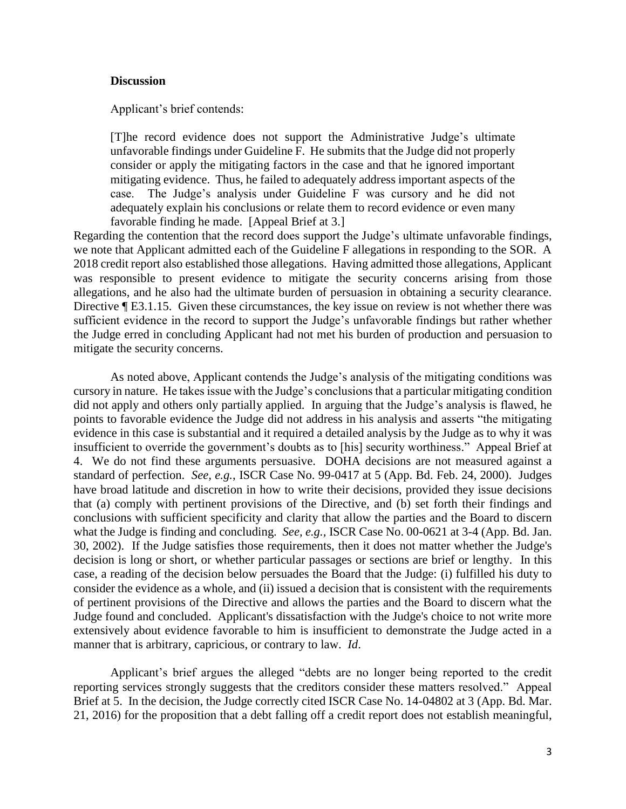### **Discussion**

Applicant's brief contends:

 unfavorable findings under Guideline F. He submits that the Judge did not properly consider or apply the mitigating factors in the case and that he ignored important mitigating evidence. Thus, he failed to adequately address important aspects of the [T]he record evidence does not support the Administrative Judge's ultimate case. The Judge's analysis under Guideline F was cursory and he did not adequately explain his conclusions or relate them to record evidence or even many favorable finding he made. [Appeal Brief at 3.]

 2018 credit report also established those allegations. Having admitted those allegations, Applicant was responsible to present evidence to mitigate the security concerns arising from those allegations, and he also had the ultimate burden of persuasion in obtaining a security clearance. sufficient evidence in the record to support the Judge's unfavorable findings but rather whether Regarding the contention that the record does support the Judge's ultimate unfavorable findings, we note that Applicant admitted each of the Guideline F allegations in responding to the SOR. A Directive ¶ E3.1.15. Given these circumstances, the key issue on review is not whether there was the Judge erred in concluding Applicant had not met his burden of production and persuasion to mitigate the security concerns.

 As noted above, Applicant contends the Judge's analysis of the mitigating conditions was cursory in nature. He takes issue with the Judge's conclusions that a particular mitigating condition points to favorable evidence the Judge did not address in his analysis and asserts "the mitigating evidence in this case is substantial and it required a detailed analysis by the Judge as to why it was insufficient to override the government's doubts as to [his] security worthiness." Appeal Brief at 4. We do not find these arguments persuasive. DOHA decisions are not measured against a standard of perfection. *See, e.g.*, ISCR Case No. 99-0417 at 5 (App. Bd. Feb. 24, 2000). Judges have broad latitude and discretion in how to write their decisions, provided they issue decisions conclusions with sufficient specificity and clarity that allow the parties and the Board to discern what the Judge is finding and concluding. *See, e.g.,* ISCR Case No. 00-0621 at 3-4 (App. Bd. Jan. 30, 2002). If the Judge satisfies those requirements, then it does not matter whether the Judge's case, a reading of the decision below persuades the Board that the Judge: (i) fulfilled his duty to consider the evidence as a whole, and (ii) issued a decision that is consistent with the requirements Judge found and concluded. Applicant's dissatisfaction with the Judge's choice to not write more extensively about evidence favorable to him is insufficient to demonstrate the Judge acted in a did not apply and others only partially applied. In arguing that the Judge's analysis is flawed, he that (a) comply with pertinent provisions of the Directive, and (b) set forth their findings and decision is long or short, or whether particular passages or sections are brief or lengthy. In this of pertinent provisions of the Directive and allows the parties and the Board to discern what the manner that is arbitrary, capricious, or contrary to law. *Id*.

 reporting services strongly suggests that the creditors consider these matters resolved." Appeal Brief at 5. In the decision, the Judge correctly cited ISCR Case No. 14-04802 at 3 (App. Bd. Mar. 21, 2016) for the proposition that a debt falling off a credit report does not establish meaningful, Applicant's brief argues the alleged "debts are no longer being reported to the credit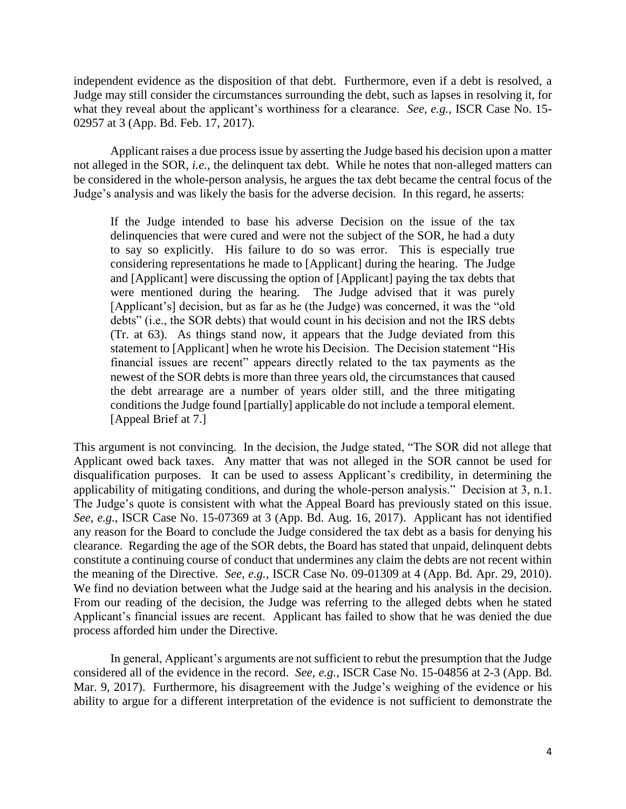independent evidence as the disposition of that debt. Furthermore, even if a debt is resolved, a Judge may still consider the circumstances surrounding the debt, such as lapses in resolving it, for what they reveal about the applicant's worthiness for a clearance. *See, e.g.*, ISCR Case No. 15- 02957 at 3 (App. Bd. Feb. 17, 2017).

 Applicant raises a due process issue by asserting the Judge based his decision upon a matter not alleged in the SOR, *i.e.*, the delinquent tax debt. While he notes that non-alleged matters can Judge's analysis and was likely the basis for the adverse decision. In this regard, he asserts: be considered in the whole-person analysis, he argues the tax debt became the central focus of the

 delinquencies that were cured and were not the subject of the SOR, he had a duty to say so explicitly. His failure to do so was error. This is especially true considering representations he made to [Applicant] during the hearing. The Judge and [Applicant] were discussing the option of [Applicant] paying the tax debts that were mentioned during the hearing. The Judge advised that it was purely [Applicant's] decision, but as far as he (the Judge) was concerned, it was the "old statement to [Applicant] when he wrote his Decision. The Decision statement "His newest of the SOR debts is more than three years old, the circumstances that caused the debt arrearage are a number of years older still, and the three mitigating conditions the Judge found [partially] applicable do not include a temporal element. If the Judge intended to base his adverse Decision on the issue of the tax debts" (i.e., the SOR debts) that would count in his decision and not the IRS debts (Tr. at 63). As things stand now, it appears that the Judge deviated from this financial issues are recent" appears directly related to the tax payments as the [Appeal Brief at 7.]

 This argument is not convincing. In the decision, the Judge stated, "The SOR did not allege that Applicant owed back taxes. Any matter that was not alleged in the SOR cannot be used for disqualification purposes. It can be used to assess Applicant's credibility, in determining the applicability of mitigating conditions, and during the whole-person analysis." Decision at 3, n.1. The Judge's quote is consistent with what the Appeal Board has previously stated on this issue. *See*, *e.g.*, ISCR Case No. 15-07369 at 3 (App. Bd. Aug. 16, 2017). Applicant has not identified any reason for the Board to conclude the Judge considered the tax debt as a basis for denying his clearance. Regarding the age of the SOR debts, the Board has stated that unpaid, delinquent debts constitute a continuing course of conduct that undermines any claim the debts are not recent within the meaning of the Directive. *See, e.g.,* ISCR Case No. 09-01309 at 4 (App. Bd. Apr. 29, 2010). We find no deviation between what the Judge said at the hearing and his analysis in the decision. From our reading of the decision, the Judge was referring to the alleged debts when he stated Applicant's financial issues are recent. Applicant has failed to show that he was denied the due process afforded him under the Directive.

 considered all of the evidence in the record. *See, e.g.*, ISCR Case No. 15-04856 at 2-3 (App. Bd. Mar. 9, 2017). Furthermore, his disagreement with the Judge's weighing of the evidence or his ability to argue for a different interpretation of the evidence is not sufficient to demonstrate the In general, Applicant's arguments are not sufficient to rebut the presumption that the Judge